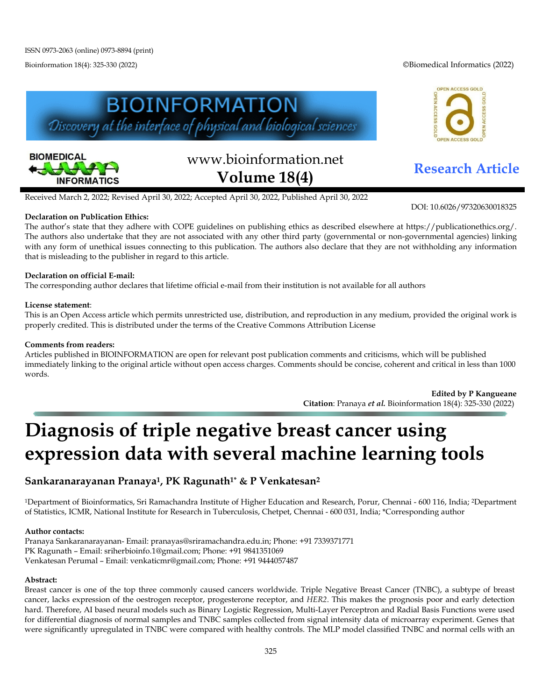Bioinformation 18(4): 325-330 (2022) ©Biomedical Informatics (2022)

OPEN ACCESS GOLD





# www.bioinformation.net **Research Article Volume 18(4)**

**ACCESS GO** 

DOI: 10.6026/97320630018325

Received March 2, 2022; Revised April 30, 2022; Accepted April 30, 2022, Published April 30, 2022

### **Declaration on Publication Ethics:**

The author's state that they adhere with COPE guidelines on publishing ethics as described elsewhere at https://publicationethics.org/. The authors also undertake that they are not associated with any other third party (governmental or non-governmental agencies) linking with any form of unethical issues connecting to this publication. The authors also declare that they are not withholding any information that is misleading to the publisher in regard to this article.

### **Declaration on official E-mail:**

The corresponding author declares that lifetime official e-mail from their institution is not available for all authors

#### **License statement**:

This is an Open Access article which permits unrestricted use, distribution, and reproduction in any medium, provided the original work is properly credited. This is distributed under the terms of the Creative Commons Attribution License

#### **Comments from readers:**

Articles published in BIOINFORMATION are open for relevant post publication comments and criticisms, which will be published immediately linking to the original article without open access charges. Comments should be concise, coherent and critical in less than 1000 words.

> **Edited by P Kangueane Citation**: Pranaya *et al.* Bioinformation 18(4): 325-330 (2022)

# **Diagnosis of triple negative breast cancer using expression data with several machine learning tools**

## **Sankaranarayanan Pranaya1, PK Ragunath1\* & P Venkatesan2**

1Department of Bioinformatics, Sri Ramachandra Institute of Higher Education and Research, Porur, Chennai - 600 116, India; 2Department of Statistics, ICMR, National Institute for Research in Tuberculosis, Chetpet, Chennai - 600 031, India; \*Corresponding author

#### **Author contacts:**

Pranaya Sankaranarayanan- Email: pranayas@sriramachandra.edu.in; Phone: +91 7339371771 PK Ragunath – Email: sriherbioinfo.1@gmail.com; Phone: +91 9841351069 Venkatesan Perumal – Email: venkaticmr@gmail.com; Phone: +91 9444057487

#### **Abstract:**

Breast cancer is one of the top three commonly caused cancers worldwide. Triple Negative Breast Cancer (TNBC), a subtype of breast cancer, lacks expression of the oestrogen receptor, progesterone receptor, and *HER2*. This makes the prognosis poor and early detection hard. Therefore, AI based neural models such as Binary Logistic Regression, Multi-Layer Perceptron and Radial Basis Functions were used for differential diagnosis of normal samples and TNBC samples collected from signal intensity data of microarray experiment. Genes that were significantly upregulated in TNBC were compared with healthy controls. The MLP model classified TNBC and normal cells with an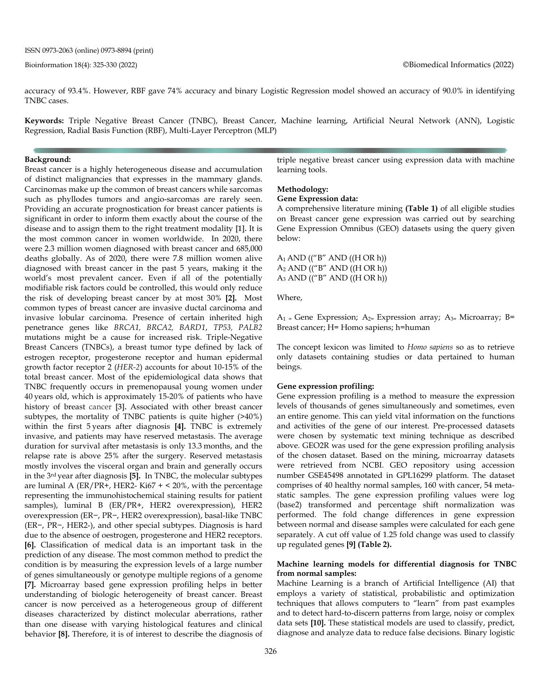accuracy of 93.4%. However, RBF gave 74% accuracy and binary Logistic Regression model showed an accuracy of 90.0% in identifying TNBC cases.

**Keywords:** Triple Negative Breast Cancer (TNBC), Breast Cancer, Machine learning, Artificial Neural Network (ANN), Logistic Regression, Radial Basis Function (RBF), Multi-Layer Perceptron (MLP)

#### **Background:**

Breast cancer is a highly heterogeneous disease and accumulation of distinct malignancies that expresses in the mammary glands. Carcinomas make up the common of breast cancers while sarcomas such as phyllodes tumors and angio-sarcomas are rarely seen. Providing an accurate prognostication for breast cancer patients is significant in order to inform them exactly about the course of the disease and to assign them to the right treatment modality **[1].** It is the most common cancer in women worldwide. In 2020, there were 2.3 million women diagnosed with breast cancer and 685,000 deaths globally. As of 2020, there were 7.8 million women alive diagnosed with breast cancer in the past 5 years, making it the world's most prevalent cancer**.** Even if all of the potentially modifiable risk factors could be controlled, this would only reduce the risk of developing breast cancer by at most 30% **[2].** Most common types of breast cancer are invasive ductal carcinoma and invasive lobular carcinoma. Presence of certain inherited high penetrance genes like *BRCA1, BRCA2, BARD1*, *TP53, PALB2* mutations might be a cause for increased risk. Triple-Negative Breast Cancers (TNBCs), a breast tumor type defined by lack of estrogen receptor, progesterone receptor and human epidermal growth factor receptor 2 (*HER-2*) accounts for about 10-15% of the total breast cancer. Most of the epidemiological data shows that TNBC frequently occurs in premenopausal young women under 40 years old, which is approximately 15-20% of patients who have history of breast cancer **[3].** Associated with other breast cancer subtypes, the mortality of TNBC patients is quite higher (>40%) within the first 5 years after diagnosis **[4].** TNBC is extremely invasive, and patients may have reserved metastasis. The average duration for survival after metastasis is only 13.3 months, and the relapse rate is above 25% after the surgery. Reserved metastasis mostly involves the visceral organ and brain and generally occurs in the 3rd year after diagnosis **[5].** In TNBC, the molecular subtypes are luminal A (ER/PR+, HER2- Ki67 + < 20%, with the percentage representing the immunohistochemical staining results for patient samples), luminal B (ER/PR+, HER2 overexpression), HER2 overexpression (ER−, PR−, HER2 overexpression), basal-like TNBC (ER−, PR−, HER2-), and other special subtypes. Diagnosis is hard due to the absence of oestrogen, progesterone and HER2 receptors. **[6].** Classification of medical data is an important task in the prediction of any disease. The most common method to predict the condition is by measuring the expression levels of a large number of genes simultaneously or genotype multiple regions of a genome **[7].** Microarray based gene expression profiling helps in better understanding of biologic heterogeneity of breast cancer. Breast cancer is now perceived as a heterogeneous group of different diseases characterized by distinct molecular aberrations, rather than one disease with varying histological features and clinical behavior **[8].** Therefore, it is of interest to describe the diagnosis of triple negative breast cancer using expression data with machine learning tools.

#### **Methodology:**

#### **Gene Expression data:**

A comprehensive literature mining **(Table 1)** of all eligible studies on Breast cancer gene expression was carried out by searching Gene Expression Omnibus (GEO) datasets using the query given below:

 $A_1$  AND (("B" AND ((H OR h))  $A_2$  AND (("B" AND ((H OR h))  $A_3$  AND (("B" AND ((H OR h))

Where,

 $A_1$  = Gene Expression;  $A_{2}$ = Expression array;  $A_{3}$ = Microarray; B= Breast cancer; H= Homo sapiens; h=human

The concept lexicon was limited to *Homo sapiens* so as to retrieve only datasets containing studies or data pertained to human beings.

#### **Gene expression profiling:**

Gene expression profiling is a method to measure the expression levels of thousands of genes simultaneously and sometimes, even an entire genome. This can yield vital information on the functions and activities of the gene of our interest. Pre-processed datasets were chosen by systematic text mining technique as described above. GEO2R was used for the gene expression profiling analysis of the chosen dataset. Based on the mining, microarray datasets were retrieved from NCBI. GEO repository using accession number GSE45498 annotated in GPL16299 platform. The dataset comprises of 40 healthy normal samples, 160 with cancer, 54 metastatic samples. The gene expression profiling values were log (base2) transformed and percentage shift normalization was performed. The fold change differences in gene expression between normal and disease samples were calculated for each gene separately. A cut off value of 1.25 fold change was used to classify up regulated genes **[9] (Table 2).**

#### **Machine learning models for differential diagnosis for TNBC from normal samples:**

Machine Learning is a branch of Artificial Intelligence (AI) that employs a variety of statistical, probabilistic and optimization techniques that allows computers to "learn" from past examples and to detect hard-to-discern patterns from large, noisy or complex data sets **[10].** These statistical models are used to classify, predict, diagnose and analyze data to reduce false decisions. Binary logistic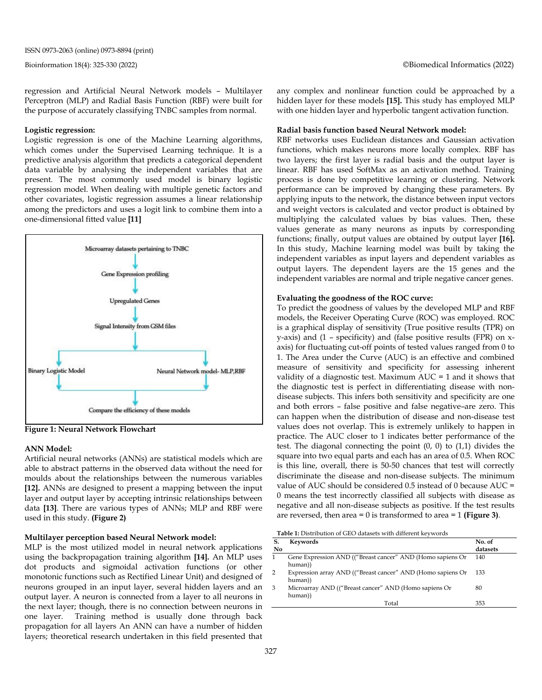regression and Artificial Neural Network models – Multilayer Perceptron (MLP) and Radial Basis Function (RBF) were built for the purpose of accurately classifying TNBC samples from normal.

#### **Logistic regression:**

Logistic regression is one of the Machine Learning algorithms, which comes under the Supervised Learning technique. It is a predictive analysis algorithm that predicts a categorical dependent data variable by analysing the independent variables that are present. The most commonly used model is binary logistic regression model. When dealing with multiple genetic factors and other covariates, logistic regression assumes a linear relationship among the predictors and uses a logit link to combine them into a one-dimensional fitted value **[11]**



**Figure 1: Neural Network Flowchart**

#### **ANN Model:**

Artificial neural networks (ANNs) are statistical models which are able to abstract patterns in the observed data without the need for moulds about the relationships between the numerous variables **[12].** ANNs are designed to present a mapping between the input layer and output layer by accepting intrinsic relationships between data **[13]**. There are various types of ANNs; MLP and RBF were used in this study. **(Figure 2)**

#### **Multilayer perception based Neural Network model:**

MLP is the most utilized model in neural network applications using the backpropagation training algorithm **[14].** An MLP uses dot products and sigmoidal activation functions (or other monotonic functions such as Rectified Linear Unit) and designed of neurons grouped in an input layer, several hidden layers and an output layer. A neuron is connected from a layer to all neurons in the next layer; though, there is no connection between neurons in one layer. Training method is usually done through back propagation for all layers An ANN can have a number of hidden layers; theoretical research undertaken in this field presented that

any complex and nonlinear function could be approached by a hidden layer for these models **[15].** This study has employed MLP with one hidden layer and hyperbolic tangent activation function.

#### **Radial basis function based Neural Network model:**

RBF networks uses Euclidean distances and Gaussian activation functions, which makes neurons more locally complex. RBF has two layers; the first layer is radial basis and the output layer is linear. RBF has used SoftMax as an activation method. Training process is done by competitive learning or clustering. Network performance can be improved by changing these parameters. By applying inputs to the network, the distance between input vectors and weight vectors is calculated and vector product is obtained by multiplying the calculated values by bias values. Then, these values generate as many neurons as inputs by corresponding functions; finally, output values are obtained by output layer **[16].** In this study, Machine learning model was built by taking the independent variables as input layers and dependent variables as output layers. The dependent layers are the 15 genes and the independent variables are normal and triple negative cancer genes.

#### **Evaluating the goodness of the ROC curve:**

To predict the goodness of values by the developed MLP and RBF models, the Receiver Operating Curve (ROC) was employed. ROC is a graphical display of sensitivity (True positive results (TPR) on y-axis) and (1 – specificity) and (false positive results (FPR) on xaxis) for fluctuating cut-off points of tested values ranged from 0 to 1. The Area under the Curve (AUC) is an effective and combined measure of sensitivity and specificity for assessing inherent validity of a diagnostic test. Maximum AUC = 1 and it shows that the diagnostic test is perfect in differentiating disease with nondisease subjects. This infers both sensitivity and specificity are one and both errors – false positive and false negative–are zero. This can happen when the distribution of disease and non-disease test values does not overlap. This is extremely unlikely to happen in practice. The AUC closer to 1 indicates better performance of the test. The diagonal connecting the point (0, 0) to (1,1) divides the square into two equal parts and each has an area of 0.5. When ROC is this line, overall, there is 50-50 chances that test will correctly discriminate the disease and non-disease subjects. The minimum value of AUC should be considered 0.5 instead of 0 because AUC = 0 means the test incorrectly classified all subjects with disease as negative and all non-disease subjects as positive. If the test results are reversed, then area = 0 is transformed to area = 1 **(Figure 3)**.

**Table 1:** Distribution of GEO datasets with different keywords

| S.<br>No | Keywords                                                               | No. of<br>datasets |
|----------|------------------------------------------------------------------------|--------------------|
|          | Gene Expression AND (("Breast cancer" AND (Homo sapiens Or<br>human))  | 140                |
| 2        | Expression array AND (("Breast cancer" AND (Homo sapiens Or<br>human)) | 133                |
| 3        | Microarray AND (("Breast cancer" AND (Homo sapiens Or<br>human))       | 80                 |
|          | Total                                                                  | 353                |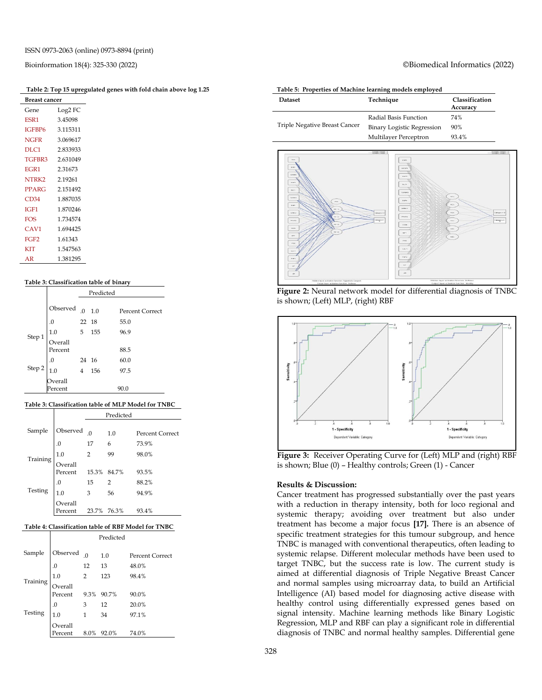#### **Table 2: Top 15 upregulated genes with fold chain above log 1.25**

| Breast cancer    |          |  |  |
|------------------|----------|--|--|
| Gene             | Log2 FC  |  |  |
| ESR <sub>1</sub> | 3.45098  |  |  |
| IGFBP6           | 3.115311 |  |  |
| <b>NGFR</b>      | 3.069617 |  |  |
| DLC1             | 2.833933 |  |  |
| TGFBR3           | 2.631049 |  |  |
| EGR <sub>1</sub> | 2.31673  |  |  |
| NTRK2            | 2.19261  |  |  |
| PPARG            | 2.151492 |  |  |
| CD34             | 1.887035 |  |  |
| IGF1             | 1.870246 |  |  |
| <b>FOS</b>       | 1.734574 |  |  |
| CAV1             | 1.694425 |  |  |
| FGF <sub>2</sub> | 1.61343  |  |  |
| <b>KIT</b>       | 1.547563 |  |  |
| AR               | 1.381295 |  |  |

#### **Table 3: Classification table of binary**

|                                                  | Predicted                                                      |  |  |                        |
|--------------------------------------------------|----------------------------------------------------------------|--|--|------------------------|
|                                                  |                                                                |  |  | <b>Percent Correct</b> |
|                                                  |                                                                |  |  | 55.0                   |
|                                                  |                                                                |  |  | 96.9                   |
| Step 1                                           | Observed 0. 1.0<br>0. 22 18<br>1.0 5 155<br>Overall<br>Percent |  |  | 88.5                   |
|                                                  |                                                                |  |  | 60.0                   |
| Step 2 $\begin{bmatrix} .0 \\ 1.0 \end{bmatrix}$ | 24 16<br>4 156                                                 |  |  | 97.5                   |
|                                                  | Overall                                                        |  |  |                        |
|                                                  | Percent                                                        |  |  | 90.0                   |

#### **Table 3: Classification table of MLP Model for TNBC**

|  |                                                                                                                                                                                          |                                         | Predicted                                         |  |                 |
|--|------------------------------------------------------------------------------------------------------------------------------------------------------------------------------------------|-----------------------------------------|---------------------------------------------------|--|-----------------|
|  |                                                                                                                                                                                          |                                         |                                                   |  | Percent Correct |
|  |                                                                                                                                                                                          |                                         |                                                   |  | 73.9%           |
|  | $\begin{array}{c cc}\n\text{Observed} & 0 & 1 \cdot \nu \\ 0 & 17 & 6 \\ \text{Training} & 1.0 & 2 & 99 \\ \text{Overall} & \text{Percent} & 15.3^{\circ} \\ & 1 & 17 & 17\n\end{array}$ |                                         |                                                   |  | 98.0%           |
|  |                                                                                                                                                                                          |                                         |                                                   |  | 93.5%           |
|  |                                                                                                                                                                                          |                                         | $\begin{array}{ccc} 15 & 2 \\ 3 & 56 \end{array}$ |  | 88.2%           |
|  | Testing                                                                                                                                                                                  | $\begin{matrix} .0 \\ 1.0 \end{matrix}$ |                                                   |  | 94.9%           |
|  |                                                                                                                                                                                          | Overall<br>Percent                      | 23.7% 76.3%                                       |  | 93.4%           |

#### **Table 4: Classification table of RBF Model for TNBC**

|                                                                                                                                                                                                                                                                                                                                                        | Predicted |                        |
|--------------------------------------------------------------------------------------------------------------------------------------------------------------------------------------------------------------------------------------------------------------------------------------------------------------------------------------------------------|-----------|------------------------|
|                                                                                                                                                                                                                                                                                                                                                        |           | <b>Percent Correct</b> |
|                                                                                                                                                                                                                                                                                                                                                        |           | 48.0%                  |
|                                                                                                                                                                                                                                                                                                                                                        |           | 98.4%                  |
| $\begin{tabular}{ c c c c } \hline Sample & observed & 0 & 1.0 \\ & 0 & 12 & 13 \\ \hline 1.0 & 2 & 123 \\ \hline \text{Training} & 0 & 3 & 12 \\ \hline \text{Percent} & 9.3\% & 90.7\% \\ \hline 1.0 & 1 & 34 \\ \hline \text{Overall} & 1 & 34 \\ \hline \text{Overall} & 1 & 34 \\ \hline \text{Percent} & 8.0\% & 92.0\% \\ \hline \end{tabular}$ |           | 90.0%                  |
|                                                                                                                                                                                                                                                                                                                                                        |           | 20.0%                  |
|                                                                                                                                                                                                                                                                                                                                                        |           | 97.1%                  |
|                                                                                                                                                                                                                                                                                                                                                        |           | 74.0%                  |

#### Bioinformation 18(4): 325-330 (2022) ©Biomedical Informatics (2022)

#### **Table 5: Properties of Machine learning models employed**

| <b>Dataset</b>                | Technique                  | Classification<br>Accuracy |
|-------------------------------|----------------------------|----------------------------|
|                               | Radial Basis Function      | 74%                        |
| Triple Negative Breast Cancer | Binary Logistic Regression | 90%                        |
|                               | Multilayer Perceptron      | 93.4%                      |







**Figure 3:** Receiver Operating Curve for (Left) MLP and (right) RBF is shown; Blue (0) – Healthy controls; Green (1) - Cancer

#### **Results & Discussion:**

Cancer treatment has progressed substantially over the past years with a reduction in therapy intensity, both for loco regional and systemic therapy; avoiding over treatment but also under treatment has become a major focus **[17].** There is an absence of specific treatment strategies for this tumour subgroup, and hence TNBC is managed with conventional therapeutics, often leading to systemic relapse. Different molecular methods have been used to target TNBC, but the success rate is low. The current study is aimed at differential diagnosis of Triple Negative Breast Cancer and normal samples using microarray data, to build an Artificial Intelligence (AI) based model for diagnosing active disease with healthy control using differentially expressed genes based on signal intensity. Machine learning methods like Binary Logistic Regression, MLP and RBF can play a significant role in differential diagnosis of TNBC and normal healthy samples. Differential gene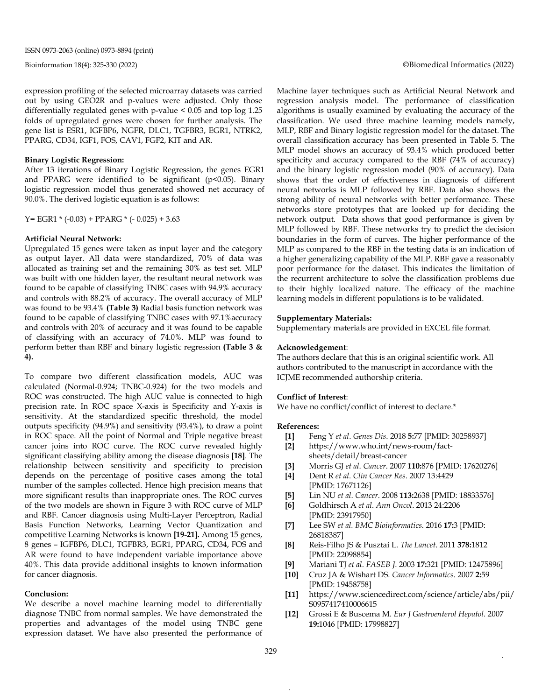expression profiling of the selected microarray datasets was carried out by using GEO2R and p-values were adjusted. Only those differentially regulated genes with p-value < 0.05 and top log 1.25 folds of upregulated genes were chosen for further analysis. The gene list is ESR1, IGFBP6, NGFR, DLC1, TGFBR3, EGR1, NTRK2, PPARG, CD34, IGF1, FOS, CAV1, FGF2, KIT and AR.

#### **Binary Logistic Regression:**

After 13 iterations of Binary Logistic Regression, the genes EGR1 and PPARG were identified to be significant (p<0.05). Binary logistic regression model thus generated showed net accuracy of 90.0%. The derived logistic equation is as follows:

Y = EGR1  $*(-0.03)$  + PPARG  $*(-0.025)$  + 3.63

#### **Artificial Neural Network:**

Upregulated 15 genes were taken as input layer and the category as output layer. All data were standardized, 70% of data was allocated as training set and the remaining 30% as test set. MLP was built with one hidden layer, the resultant neural network was found to be capable of classifying TNBC cases with 94.9% accuracy and controls with 88.2% of accuracy. The overall accuracy of MLP was found to be 93.4% **(Table 3)** Radial basis function network was found to be capable of classifying TNBC cases with 97.1%accuracy and controls with 20% of accuracy and it was found to be capable of classifying with an accuracy of 74.0%. MLP was found to perform better than RBF and binary logistic regression **(Table 3 & 4).** 

To compare two different classification models, AUC was calculated (Normal-0.924; TNBC-0.924) for the two models and ROC was constructed. The high AUC value is connected to high precision rate. In ROC space X-axis is Specificity and Y-axis is sensitivity. At the standardized specific threshold, the model outputs specificity (94.9%) and sensitivity (93.4%), to draw a point in ROC space. All the point of Normal and Triple negative breast cancer joins into ROC curve. The ROC curve revealed highly significant classifying ability among the disease diagnosis **[18]**. The relationship between sensitivity and specificity to precision depends on the percentage of positive cases among the total number of the samples collected. Hence high precision means that more significant results than inappropriate ones. The ROC curves of the two models are shown in Figure 3 with ROC curve of MLP and RBF. Cancer diagnosis using Multi-Layer Perceptron, Radial Basis Function Networks, Learning Vector Quantization and competitive Learning Networks is known **[19-21].** Among 15 genes, 8 genes – IGFBP6, DLC1, TGFBR3, EGR1, PPARG, CD34, FOS and AR were found to have independent variable importance above 40%. This data provide additional insights to known information for cancer diagnosis.

#### **Conclusion:**

We describe a novel machine learning model to differentially diagnose TNBC from normal samples. We have demonstrated the properties and advantages of the model using TNBC gene expression dataset. We have also presented the performance of Machine layer techniques such as Artificial Neural Network and regression analysis model. The performance of classification algorithms is usually examined by evaluating the accuracy of the classification. We used three machine learning models namely, MLP, RBF and Binary logistic regression model for the dataset. The overall classification accuracy has been presented in Table 5. The MLP model shows an accuracy of 93.4% which produced better specificity and accuracy compared to the RBF (74% of accuracy) and the binary logistic regression model (90% of accuracy). Data shows that the order of effectiveness in diagnosis of different neural networks is MLP followed by RBF. Data also shows the strong ability of neural networks with better performance. These networks store prototypes that are looked up for deciding the network output. Data shows that good performance is given by MLP followed by RBF. These networks try to predict the decision boundaries in the form of curves. The higher performance of the MLP as compared to the RBF in the testing data is an indication of a higher generalizing capability of the MLP. RBF gave a reasonably poor performance for the dataset. This indicates the limitation of the recurrent architecture to solve the classification problems due to their highly localized nature. The efficacy of the machine learning models in different populations is to be validated.

#### **Supplementary Materials:**

Supplementary materials are provided in EXCEL file format.

#### **Acknowledgement**:

The authors declare that this is an original scientific work. All authors contributed to the manuscript in accordance with the ICJME recommended authorship criteria.

#### **Conflict of Interest**:

We have no conflict/conflict of interest to declare.\*

#### **References:**

- **[1]** Feng Y *et al*. *Genes Dis*. 2018 **5:**77 [PMID: 30258937]
- **[2]** https://www.who.int/news-room/factsheets/detail/breast-cancer
- **[3]** Morris GJ *et al*. *Cancer*. 2007 **110:**876 [PMID: 17620276]
- **[4]** Dent R *et al*. *Clin Cancer Res*. 2007 13:4429 [PMID: 17671126]
- **[5]** Lin NU *et al*. *Cancer*. 2008 **113:**2638 [PMID: 18833576]
- **[6]** Goldhirsch A *et al*. *Ann Oncol*. 2013 24:2206 [PMID: 23917950]
- **[7]** Lee SW *et al. BMC Bioinformatics*. 2016 **17:**3 [PMID: 26818387]
- **[8]** Reis-Filho JS & Pusztai L. *The Lancet*. 2011 **378:**1812 [PMID: 22098854]
- **[9]** Mariani TJ *et al*. *FASEB J*. 2003 **17:**321 [PMID: 12475896]
- **[10]** Cruz JA & Wishart DS. *Cancer Informatics*. 2007 **2:**59 [PMID: 19458758]
- **[11]** [https://www.sciencedirect.com/science/article/abs/pii/](https://www.sciencedirect.com/science/article/abs/pii/S0957417410006615) [S0957417410006615](https://www.sciencedirect.com/science/article/abs/pii/S0957417410006615)
- **[12]** Grossi E & Buscema M. *Eur J Gastroenterol Hepatol*. 2007 **19:**1046 [PMID: 17998827]